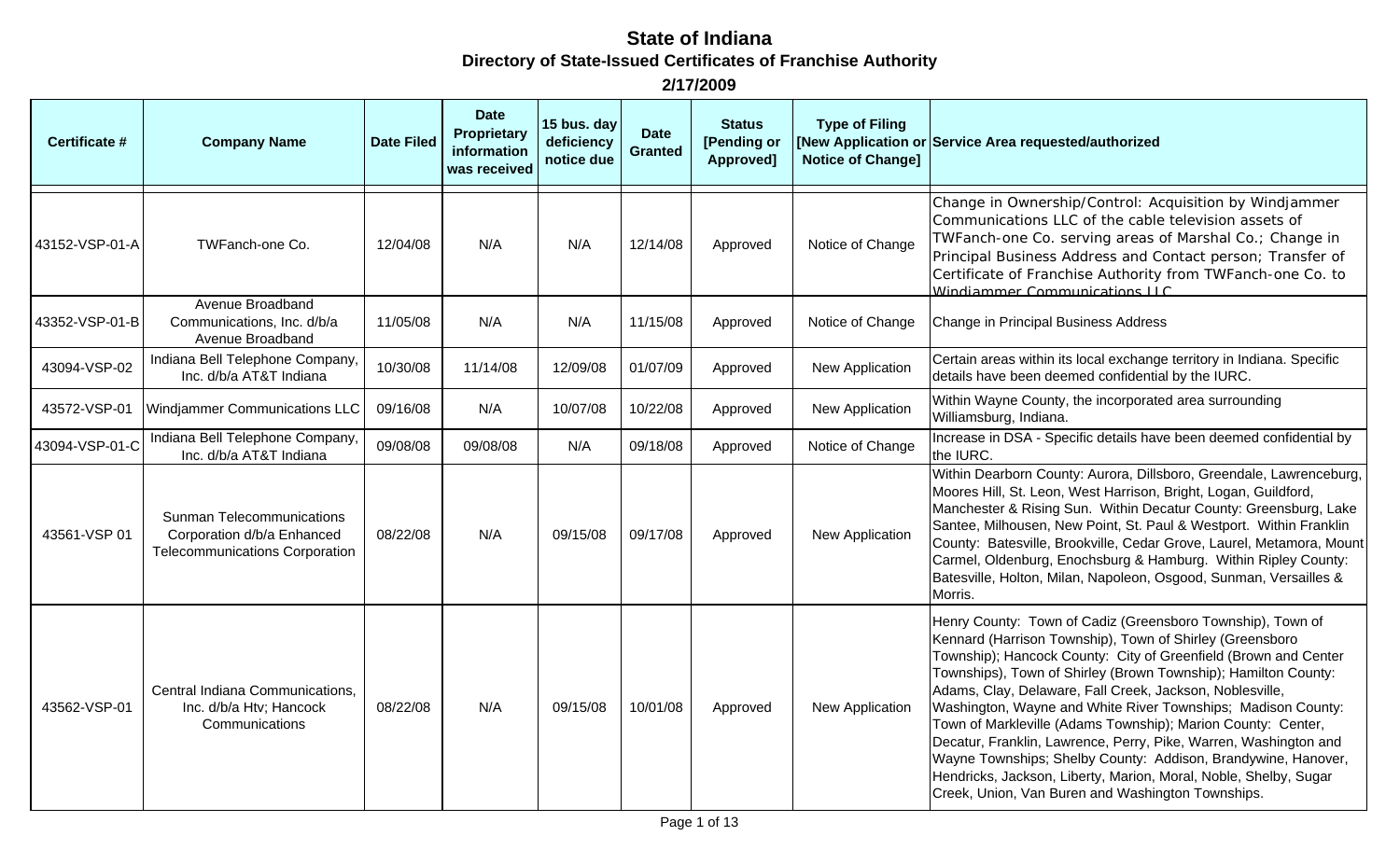| <b>Certificate #</b> | <b>Company Name</b>                                                                              | <b>Date Filed</b> | <b>Date</b><br><b>Proprietary</b><br>information<br>was received | 15 bus. day<br>deficiency<br>notice due | <b>Date</b><br><b>Granted</b> | <b>Status</b><br>[Pending or<br>Approved] | <b>Type of Filing</b><br><b>Notice of Change]</b> | [New Application or Service Area requested/authorized                                                                                                                                                                                                                                                                                                                                                                                                                                                                                                                                                                                                                                                                 |
|----------------------|--------------------------------------------------------------------------------------------------|-------------------|------------------------------------------------------------------|-----------------------------------------|-------------------------------|-------------------------------------------|---------------------------------------------------|-----------------------------------------------------------------------------------------------------------------------------------------------------------------------------------------------------------------------------------------------------------------------------------------------------------------------------------------------------------------------------------------------------------------------------------------------------------------------------------------------------------------------------------------------------------------------------------------------------------------------------------------------------------------------------------------------------------------------|
| 43152-VSP-01-A       | TWFanch-one Co.                                                                                  | 12/04/08          | N/A                                                              | N/A                                     | 12/14/08                      | Approved                                  | Notice of Change                                  | Change in Ownership/Control: Acquisition by Windjammer<br>Communications LLC of the cable television assets of<br>TWFanch-one Co. serving areas of Marshal Co.; Change in<br>Principal Business Address and Contact person; Transfer of<br>Certificate of Franchise Authority from TWFanch-one Co. to<br>Windiammer Communications LLC                                                                                                                                                                                                                                                                                                                                                                                |
| 43352-VSP-01-B       | Avenue Broadband<br>Communications, Inc. d/b/a<br>Avenue Broadband                               | 11/05/08          | N/A                                                              | N/A                                     | 11/15/08                      | Approved                                  | Notice of Change                                  | Change in Principal Business Address                                                                                                                                                                                                                                                                                                                                                                                                                                                                                                                                                                                                                                                                                  |
| 43094-VSP-02         | Indiana Bell Telephone Company,<br>Inc. d/b/a AT&T Indiana                                       | 10/30/08          | 11/14/08                                                         | 12/09/08                                | 01/07/09                      | Approved                                  | New Application                                   | Certain areas within its local exchange territory in Indiana. Specific<br>details have been deemed confidential by the IURC.                                                                                                                                                                                                                                                                                                                                                                                                                                                                                                                                                                                          |
| 43572-VSP-01         | <b>Windjammer Communications LLC</b>                                                             | 09/16/08          | N/A                                                              | 10/07/08                                | 10/22/08                      | Approved                                  | New Application                                   | Within Wayne County, the incorporated area surrounding<br>Williamsburg, Indiana.                                                                                                                                                                                                                                                                                                                                                                                                                                                                                                                                                                                                                                      |
| 43094-VSP-01-C       | Indiana Bell Telephone Company,<br>Inc. d/b/a AT&T Indiana                                       | 09/08/08          | 09/08/08                                                         | N/A                                     | 09/18/08                      | Approved                                  | Notice of Change                                  | Increase in DSA - Specific details have been deemed confidential by<br>the IURC.                                                                                                                                                                                                                                                                                                                                                                                                                                                                                                                                                                                                                                      |
| 43561-VSP 01         | <b>Sunman Telecommunications</b><br>Corporation d/b/a Enhanced<br>Telecommunications Corporation | 08/22/08          | N/A                                                              | 09/15/08                                | 09/17/08                      | Approved                                  | New Application                                   | Within Dearborn County: Aurora, Dillsboro, Greendale, Lawrenceburg,<br>Moores Hill, St. Leon, West Harrison, Bright, Logan, Guildford,<br>Manchester & Rising Sun. Within Decatur County: Greensburg, Lake<br>Santee, Milhousen, New Point, St. Paul & Westport. Within Franklin<br>County: Batesville, Brookville, Cedar Grove, Laurel, Metamora, Mount<br>Carmel, Oldenburg, Enochsburg & Hamburg. Within Ripley County:<br>Batesville, Holton, Milan, Napoleon, Osgood, Sunman, Versailles &<br>Morris.                                                                                                                                                                                                            |
| 43562-VSP-01         | Central Indiana Communications,<br>Inc. d/b/a Htv; Hancock<br>Communications                     | 08/22/08          | N/A                                                              | 09/15/08                                | 10/01/08                      | Approved                                  | New Application                                   | Henry County: Town of Cadiz (Greensboro Township), Town of<br>Kennard (Harrison Township), Town of Shirley (Greensboro<br>Township); Hancock County: City of Greenfield (Brown and Center<br>Townships), Town of Shirley (Brown Township); Hamilton County:<br>Adams, Clay, Delaware, Fall Creek, Jackson, Noblesville,<br>Washington, Wayne and White River Townships; Madison County:<br>Town of Markleville (Adams Township); Marion County: Center,<br>Decatur, Franklin, Lawrence, Perry, Pike, Warren, Washington and<br>Wayne Townships; Shelby County: Addison, Brandywine, Hanover,<br>Hendricks, Jackson, Liberty, Marion, Moral, Noble, Shelby, Sugar<br>Creek, Union, Van Buren and Washington Townships. |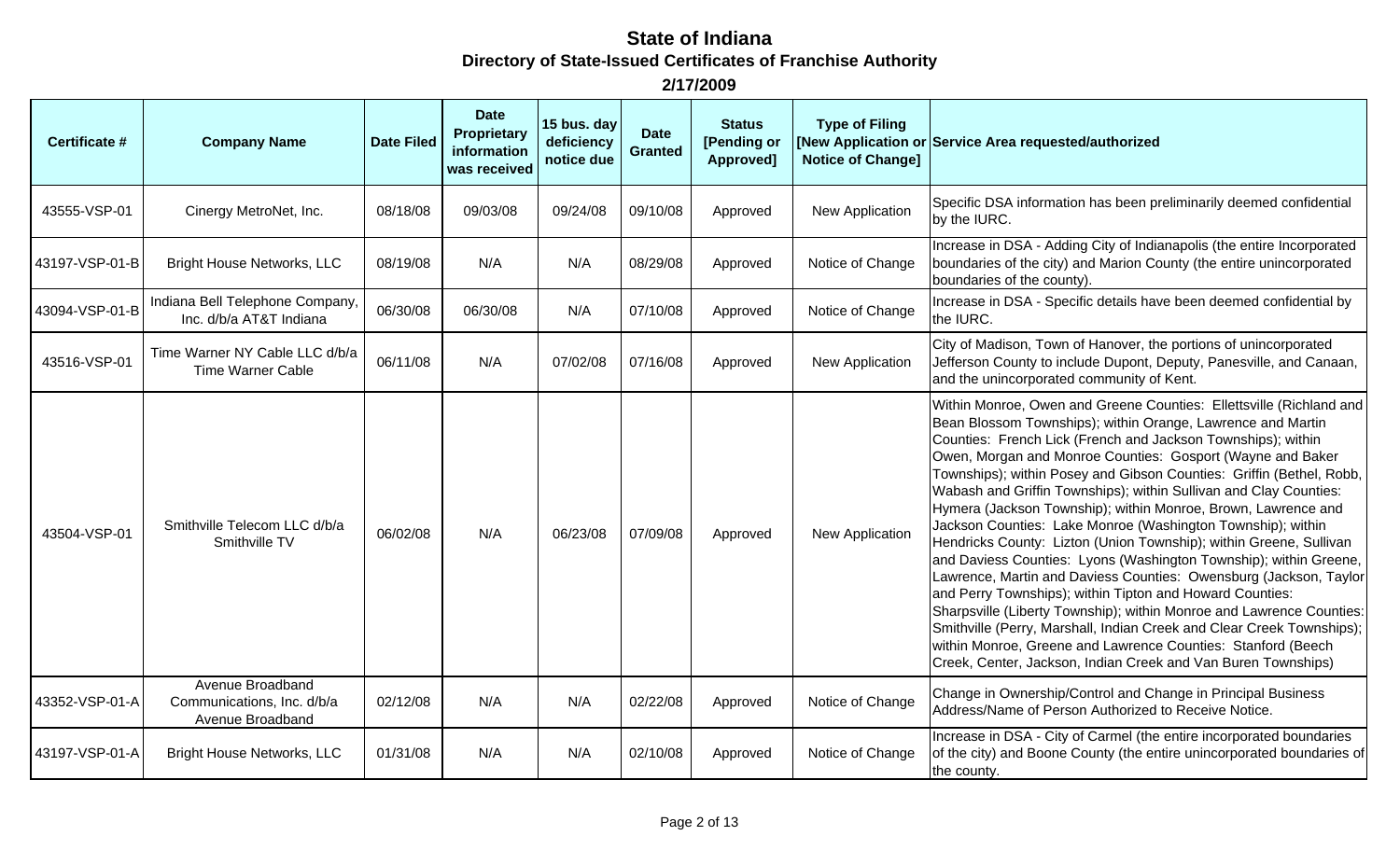| Certificate #  | <b>Company Name</b>                                                | <b>Date Filed</b> | <b>Date</b><br><b>Proprietary</b><br>information<br>was received | 15 bus. day<br>deficiency<br>notice due | <b>Date</b><br><b>Granted</b> | <b>Status</b><br>[Pending or<br>Approved] | <b>Type of Filing</b><br><b>Notice of Change]</b> | [New Application or Service Area requested/authorized                                                                                                                                                                                                                                                                                                                                                                                                                                                                                                                                                                                                                                                                                                                                                                                                                                                                                                                                                                                                                                                       |
|----------------|--------------------------------------------------------------------|-------------------|------------------------------------------------------------------|-----------------------------------------|-------------------------------|-------------------------------------------|---------------------------------------------------|-------------------------------------------------------------------------------------------------------------------------------------------------------------------------------------------------------------------------------------------------------------------------------------------------------------------------------------------------------------------------------------------------------------------------------------------------------------------------------------------------------------------------------------------------------------------------------------------------------------------------------------------------------------------------------------------------------------------------------------------------------------------------------------------------------------------------------------------------------------------------------------------------------------------------------------------------------------------------------------------------------------------------------------------------------------------------------------------------------------|
| 43555-VSP-01   | Cinergy MetroNet, Inc.                                             | 08/18/08          | 09/03/08                                                         | 09/24/08                                | 09/10/08                      | Approved                                  | New Application                                   | Specific DSA information has been preliminarily deemed confidential<br>by the IURC.                                                                                                                                                                                                                                                                                                                                                                                                                                                                                                                                                                                                                                                                                                                                                                                                                                                                                                                                                                                                                         |
| 43197-VSP-01-B | <b>Bright House Networks, LLC</b>                                  | 08/19/08          | N/A                                                              | N/A                                     | 08/29/08                      | Approved                                  | Notice of Change                                  | Increase in DSA - Adding City of Indianapolis (the entire Incorporated<br>boundaries of the city) and Marion County (the entire unincorporated<br>boundaries of the county).                                                                                                                                                                                                                                                                                                                                                                                                                                                                                                                                                                                                                                                                                                                                                                                                                                                                                                                                |
| 43094-VSP-01-B | Indiana Bell Telephone Company,<br>Inc. d/b/a AT&T Indiana         | 06/30/08          | 06/30/08                                                         | N/A                                     | 07/10/08                      | Approved                                  | Notice of Change                                  | Increase in DSA - Specific details have been deemed confidential by<br>the IURC.                                                                                                                                                                                                                                                                                                                                                                                                                                                                                                                                                                                                                                                                                                                                                                                                                                                                                                                                                                                                                            |
| 43516-VSP-01   | Time Warner NY Cable LLC d/b/a<br><b>Time Warner Cable</b>         | 06/11/08          | N/A                                                              | 07/02/08                                | 07/16/08                      | Approved                                  | New Application                                   | City of Madison, Town of Hanover, the portions of unincorporated<br>Jefferson County to include Dupont, Deputy, Panesville, and Canaan,<br>and the unincorporated community of Kent.                                                                                                                                                                                                                                                                                                                                                                                                                                                                                                                                                                                                                                                                                                                                                                                                                                                                                                                        |
| 43504-VSP-01   | Smithville Telecom LLC d/b/a<br>Smithville TV                      | 06/02/08          | N/A                                                              | 06/23/08                                | 07/09/08                      | Approved                                  | New Application                                   | Within Monroe, Owen and Greene Counties: Ellettsville (Richland and<br>Bean Blossom Townships); within Orange, Lawrence and Martin<br>Counties: French Lick (French and Jackson Townships); within<br>Owen, Morgan and Monroe Counties: Gosport (Wayne and Baker<br>Townships); within Posey and Gibson Counties: Griffin (Bethel, Robb,<br>Wabash and Griffin Townships); within Sullivan and Clay Counties:<br>Hymera (Jackson Township); within Monroe, Brown, Lawrence and<br>Jackson Counties: Lake Monroe (Washington Township); within<br>Hendricks County: Lizton (Union Township); within Greene, Sullivan<br>and Daviess Counties: Lyons (Washington Township); within Greene,<br>Lawrence, Martin and Daviess Counties: Owensburg (Jackson, Taylor<br>and Perry Townships); within Tipton and Howard Counties:<br>Sharpsville (Liberty Township); within Monroe and Lawrence Counties:<br>Smithville (Perry, Marshall, Indian Creek and Clear Creek Townships);<br>within Monroe, Greene and Lawrence Counties: Stanford (Beech<br>Creek, Center, Jackson, Indian Creek and Van Buren Townships) |
| 43352-VSP-01-A | Avenue Broadband<br>Communications, Inc. d/b/a<br>Avenue Broadband | 02/12/08          | N/A                                                              | N/A                                     | 02/22/08                      | Approved                                  | Notice of Change                                  | Change in Ownership/Control and Change in Principal Business<br>Address/Name of Person Authorized to Receive Notice.                                                                                                                                                                                                                                                                                                                                                                                                                                                                                                                                                                                                                                                                                                                                                                                                                                                                                                                                                                                        |
| 43197-VSP-01-A | <b>Bright House Networks, LLC</b>                                  | 01/31/08          | N/A                                                              | N/A                                     | 02/10/08                      | Approved                                  | Notice of Change                                  | Increase in DSA - City of Carmel (the entire incorporated boundaries<br>of the city) and Boone County (the entire unincorporated boundaries of<br>the county.                                                                                                                                                                                                                                                                                                                                                                                                                                                                                                                                                                                                                                                                                                                                                                                                                                                                                                                                               |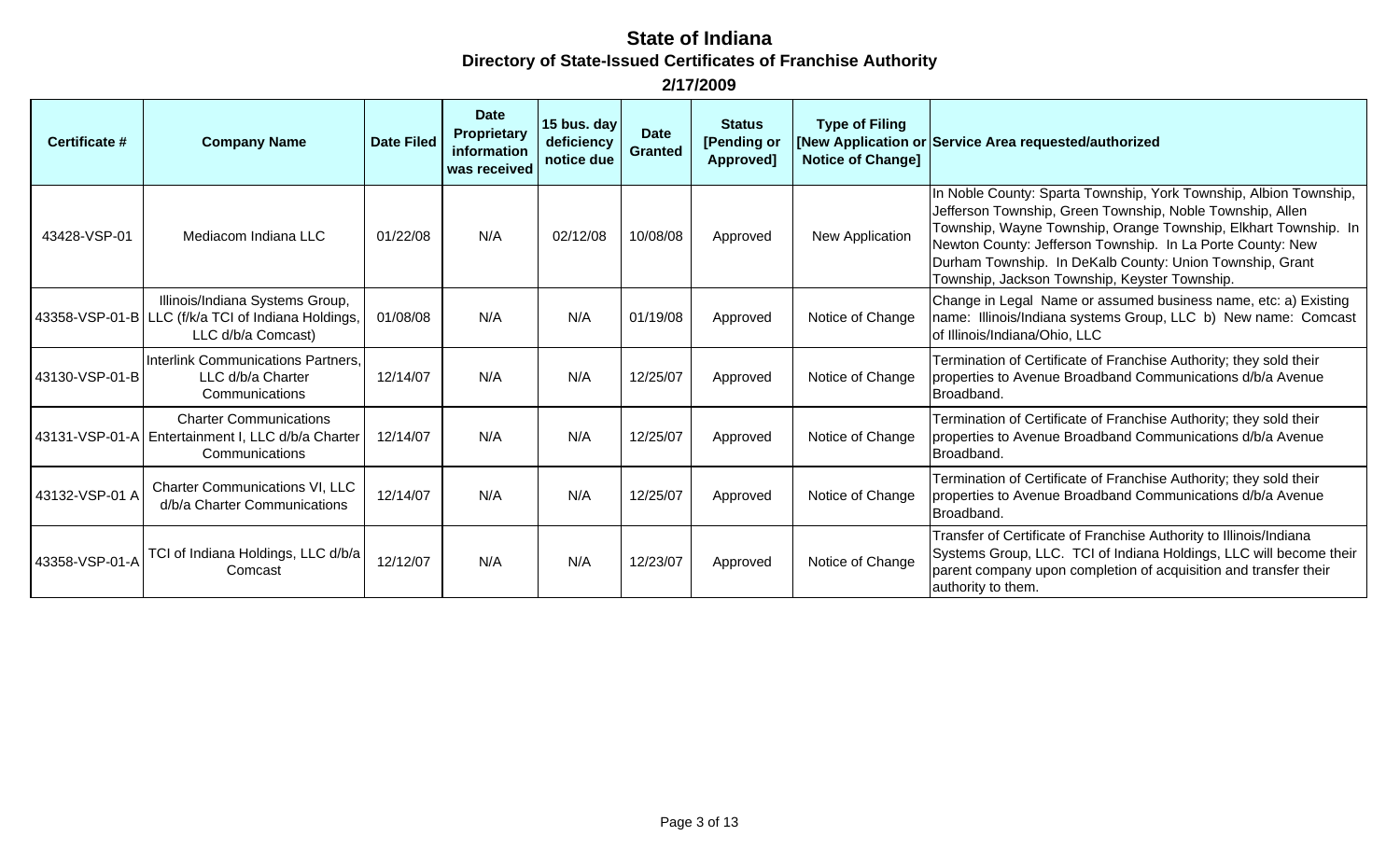| Certificate #  | <b>Company Name</b>                                                                                         | <b>Date Filed</b> | <b>Date</b><br><b>Proprietary</b><br>information<br>was received | 15 bus. day<br>deficiency<br>notice due | <b>Date</b><br><b>Granted</b> | <b>Status</b><br>[Pending or<br>Approved] | <b>Type of Filing</b><br><b>Notice of Changel</b> | [New Application or Service Area requested/authorized                                                                                                                                                                                                                                                                                                                        |
|----------------|-------------------------------------------------------------------------------------------------------------|-------------------|------------------------------------------------------------------|-----------------------------------------|-------------------------------|-------------------------------------------|---------------------------------------------------|------------------------------------------------------------------------------------------------------------------------------------------------------------------------------------------------------------------------------------------------------------------------------------------------------------------------------------------------------------------------------|
| 43428-VSP-01   | Mediacom Indiana LLC                                                                                        | 01/22/08          | N/A                                                              | 02/12/08                                | 10/08/08                      | Approved                                  | New Application                                   | In Noble County: Sparta Township, York Township, Albion Township,<br>Jefferson Township, Green Township, Noble Township, Allen<br>Township, Wayne Township, Orange Township, Elkhart Township. In<br>Newton County: Jefferson Township. In La Porte County: New<br>Durham Township. In DeKalb County: Union Township, Grant<br>Township, Jackson Township, Keyster Township. |
|                | Illinois/Indiana Systems Group,<br>43358-VSP-01-B LLC (f/k/a TCI of Indiana Holdings,<br>LLC d/b/a Comcast) | 01/08/08          | N/A                                                              | N/A                                     | 01/19/08                      | Approved                                  | Notice of Change                                  | Change in Legal Name or assumed business name, etc: a) Existing<br>name: Illinois/Indiana systems Group, LLC b) New name: Comcast<br>of Illinois/Indiana/Ohio, LLC                                                                                                                                                                                                           |
| 43130-VSP-01-B | Interlink Communications Partners,<br>LLC d/b/a Charter<br>Communications                                   | 12/14/07          | N/A                                                              | N/A                                     | 12/25/07                      | Approved                                  | Notice of Change                                  | Termination of Certificate of Franchise Authority; they sold their<br>properties to Avenue Broadband Communications d/b/a Avenue<br>Broadband.                                                                                                                                                                                                                               |
|                | <b>Charter Communications</b><br>43131-VSP-01-A   Entertainment I, LLC d/b/a Charter<br>Communications      | 12/14/07          | N/A                                                              | N/A                                     | 12/25/07                      | Approved                                  | Notice of Change                                  | Termination of Certificate of Franchise Authority; they sold their<br>properties to Avenue Broadband Communications d/b/a Avenue<br>Broadband.                                                                                                                                                                                                                               |
| 43132-VSP-01 A | Charter Communications VI, LLC<br>d/b/a Charter Communications                                              | 12/14/07          | N/A                                                              | N/A                                     | 12/25/07                      | Approved                                  | Notice of Change                                  | Termination of Certificate of Franchise Authority; they sold their<br>properties to Avenue Broadband Communications d/b/a Avenue<br>Broadband.                                                                                                                                                                                                                               |
| 43358-VSP-01-A | TCI of Indiana Holdings, LLC d/b/a<br>Comcast                                                               | 12/12/07          | N/A                                                              | N/A                                     | 12/23/07                      | Approved                                  | Notice of Change                                  | Transfer of Certificate of Franchise Authority to Illinois/Indiana<br>Systems Group, LLC. TCI of Indiana Holdings, LLC will become their<br>parent company upon completion of acquisition and transfer their<br>authority to them.                                                                                                                                           |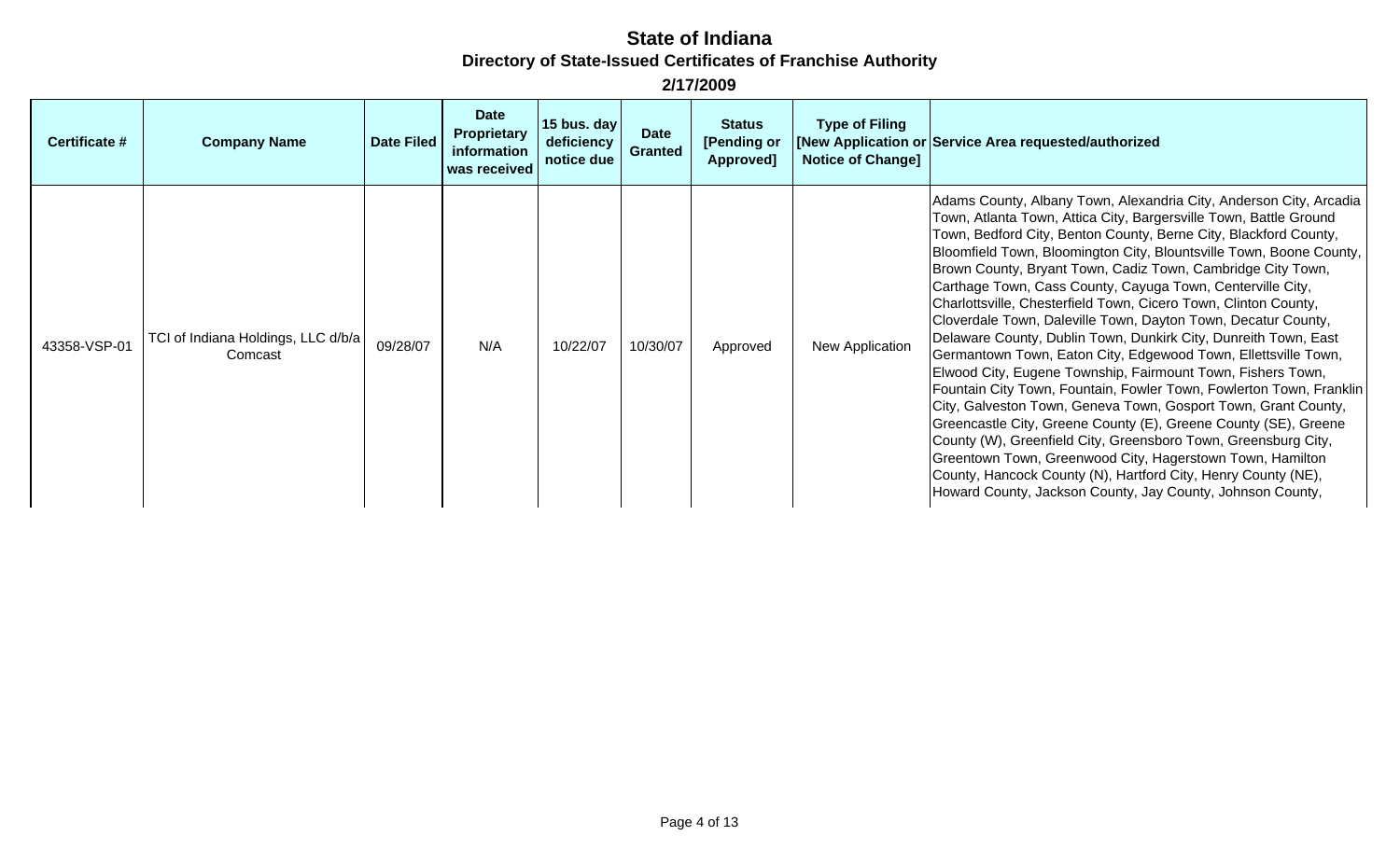| Certificate # | <b>Company Name</b>                           | <b>Date Filed</b> | <b>Date</b><br>Proprietary<br>information<br>was received | 15 bus. day<br>deficiency<br>notice due | <b>Date</b><br><b>Granted</b> | <b>Status</b><br>[Pending or<br>Approved] | <b>Type of Filing</b><br><b>Notice of Change]</b> | [New Application or Service Area requested/authorized                                                                                                                                                                                                                                                                                                                                                                                                                                                                                                                                                                                                                                                                                                                                                                                                                                                                                                                                                                                                                                                                                                                                                                             |
|---------------|-----------------------------------------------|-------------------|-----------------------------------------------------------|-----------------------------------------|-------------------------------|-------------------------------------------|---------------------------------------------------|-----------------------------------------------------------------------------------------------------------------------------------------------------------------------------------------------------------------------------------------------------------------------------------------------------------------------------------------------------------------------------------------------------------------------------------------------------------------------------------------------------------------------------------------------------------------------------------------------------------------------------------------------------------------------------------------------------------------------------------------------------------------------------------------------------------------------------------------------------------------------------------------------------------------------------------------------------------------------------------------------------------------------------------------------------------------------------------------------------------------------------------------------------------------------------------------------------------------------------------|
| 43358-VSP-01  | TCI of Indiana Holdings, LLC d/b/a<br>Comcast | 09/28/07          | N/A                                                       | 10/22/07                                | 10/30/07                      | Approved                                  | New Application                                   | Adams County, Albany Town, Alexandria City, Anderson City, Arcadia<br>Town, Atlanta Town, Attica City, Bargersville Town, Battle Ground<br>Town, Bedford City, Benton County, Berne City, Blackford County,<br>Bloomfield Town, Bloomington City, Blountsville Town, Boone County,<br>Brown County, Bryant Town, Cadiz Town, Cambridge City Town,<br>Carthage Town, Cass County, Cayuga Town, Centerville City,<br>Charlottsville, Chesterfield Town, Cicero Town, Clinton County,<br>Cloverdale Town, Daleville Town, Dayton Town, Decatur County,<br>Delaware County, Dublin Town, Dunkirk City, Dunreith Town, East<br>Germantown Town, Eaton City, Edgewood Town, Ellettsville Town,<br>Elwood City, Eugene Township, Fairmount Town, Fishers Town,<br>Fountain City Town, Fountain, Fowler Town, Fowlerton Town, Franklin<br>City, Galveston Town, Geneva Town, Gosport Town, Grant County,<br>Greencastle City, Greene County (E), Greene County (SE), Greene<br>County (W), Greenfield City, Greensboro Town, Greensburg City,<br>Greentown Town, Greenwood City, Hagerstown Town, Hamilton<br>County, Hancock County (N), Hartford City, Henry County (NE),<br>Howard County, Jackson County, Jay County, Johnson County, |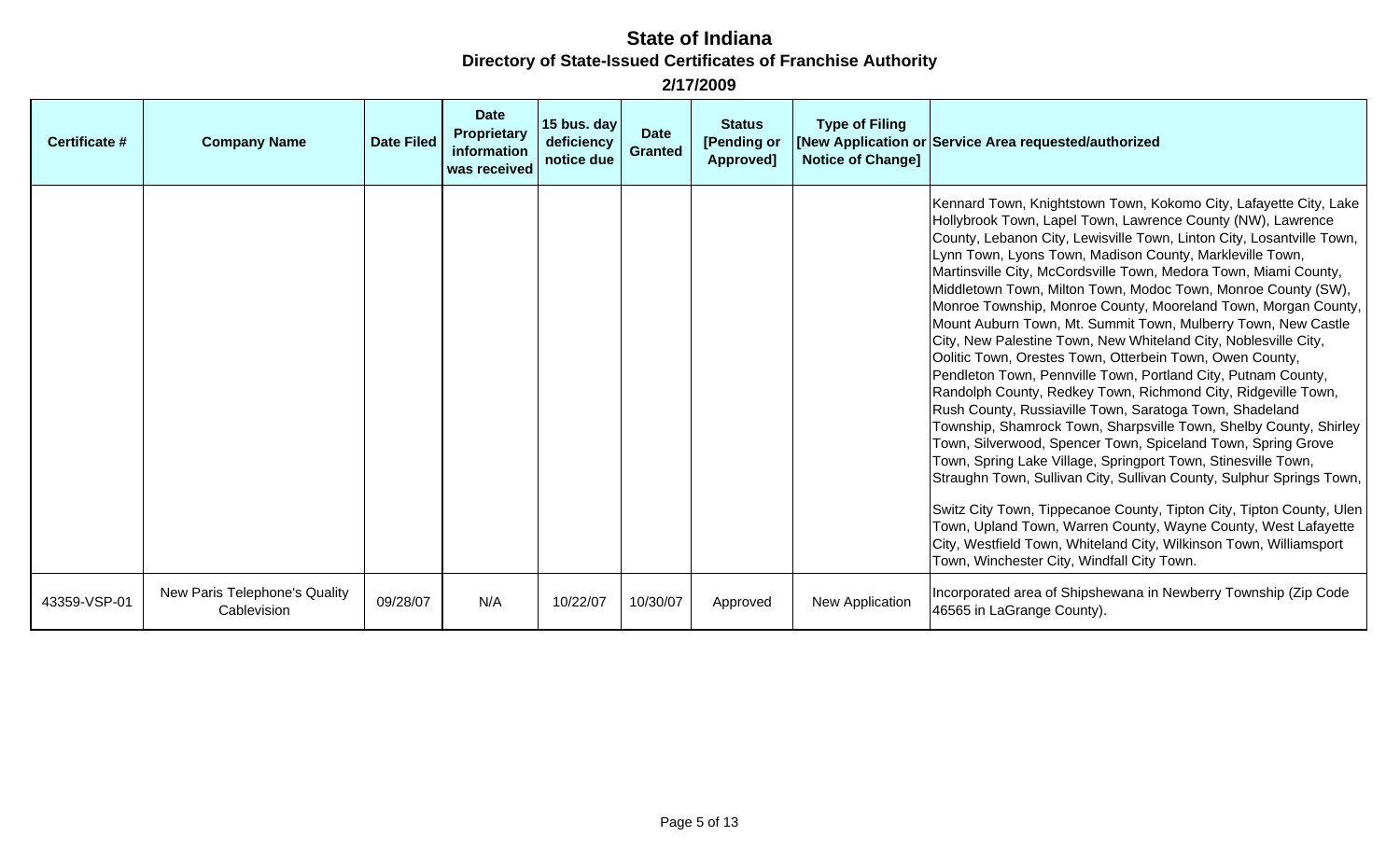| Certificate # | <b>Company Name</b>                          | <b>Date Filed</b> | <b>Date</b><br>Proprietary<br>information<br>was received | 15 bus. day<br>deficiency<br>notice due | <b>Date</b><br><b>Granted</b> | <b>Status</b><br>[Pending or<br>Approved] | <b>Type of Filing</b><br><b>Notice of Change]</b> | [New Application or Service Area requested/authorized                                                                                                                                                                                                                                                                                                                                                                                                                                                                                                                                                                                                                                                                                                                                                                                                                                                                                                                                                                                                                                                                                                                                                                                                                                                                                                                                                                 |
|---------------|----------------------------------------------|-------------------|-----------------------------------------------------------|-----------------------------------------|-------------------------------|-------------------------------------------|---------------------------------------------------|-----------------------------------------------------------------------------------------------------------------------------------------------------------------------------------------------------------------------------------------------------------------------------------------------------------------------------------------------------------------------------------------------------------------------------------------------------------------------------------------------------------------------------------------------------------------------------------------------------------------------------------------------------------------------------------------------------------------------------------------------------------------------------------------------------------------------------------------------------------------------------------------------------------------------------------------------------------------------------------------------------------------------------------------------------------------------------------------------------------------------------------------------------------------------------------------------------------------------------------------------------------------------------------------------------------------------------------------------------------------------------------------------------------------------|
|               |                                              |                   |                                                           |                                         |                               |                                           |                                                   | Kennard Town, Knightstown Town, Kokomo City, Lafayette City, Lake<br>Hollybrook Town, Lapel Town, Lawrence County (NW), Lawrence<br>County, Lebanon City, Lewisville Town, Linton City, Losantville Town,<br>Lynn Town, Lyons Town, Madison County, Markleville Town,<br>Martinsville City, McCordsville Town, Medora Town, Miami County,<br>Middletown Town, Milton Town, Modoc Town, Monroe County (SW),<br>Monroe Township, Monroe County, Mooreland Town, Morgan County,<br>Mount Auburn Town, Mt. Summit Town, Mulberry Town, New Castle<br>City, New Palestine Town, New Whiteland City, Noblesville City,<br>Oolitic Town, Orestes Town, Otterbein Town, Owen County,<br>Pendleton Town, Pennville Town, Portland City, Putnam County,<br>Randolph County, Redkey Town, Richmond City, Ridgeville Town,<br>Rush County, Russiaville Town, Saratoga Town, Shadeland<br>Township, Shamrock Town, Sharpsville Town, Shelby County, Shirley<br>Town, Silverwood, Spencer Town, Spiceland Town, Spring Grove<br>Town, Spring Lake Village, Springport Town, Stinesville Town,<br>Straughn Town, Sullivan City, Sullivan County, Sulphur Springs Town,<br>Switz City Town, Tippecanoe County, Tipton City, Tipton County, Ulen<br>Town, Upland Town, Warren County, Wayne County, West Lafayette<br>City, Westfield Town, Whiteland City, Wilkinson Town, Williamsport<br>Town, Winchester City, Windfall City Town. |
| 43359-VSP-01  | New Paris Telephone's Quality<br>Cablevision | 09/28/07          | N/A                                                       | 10/22/07                                | 10/30/07                      | Approved                                  | New Application                                   | Incorporated area of Shipshewana in Newberry Township (Zip Code<br>46565 in LaGrange County).                                                                                                                                                                                                                                                                                                                                                                                                                                                                                                                                                                                                                                                                                                                                                                                                                                                                                                                                                                                                                                                                                                                                                                                                                                                                                                                         |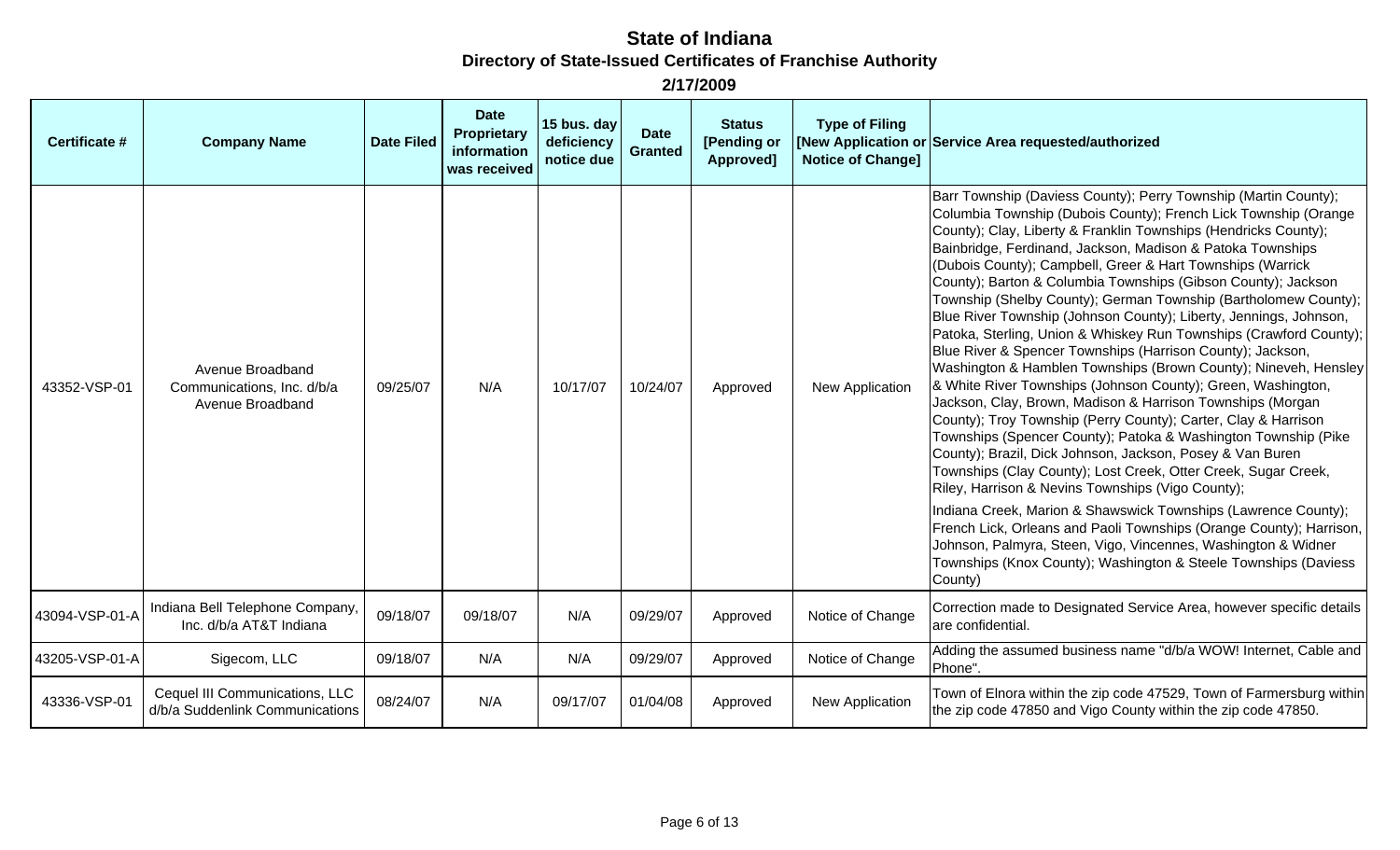| Certificate #  | <b>Company Name</b>                                                | <b>Date Filed</b> | <b>Date</b><br>Proprietary<br>information<br>was received | 15 bus. day<br>deficiency<br>notice due | <b>Date</b><br><b>Granted</b> | <b>Status</b><br>[Pending or<br>Approved] | <b>Type of Filing</b><br><b>Notice of Change]</b> | [New Application or Service Area requested/authorized                                                                                                                                                                                                                                                                                                                                                                                                                                                                                                                                                                                                                                                                                                                                                                                                                                                                                                                                                                                                                                                                                                                                                                                                                                                                                                                                                                                                                                           |
|----------------|--------------------------------------------------------------------|-------------------|-----------------------------------------------------------|-----------------------------------------|-------------------------------|-------------------------------------------|---------------------------------------------------|-------------------------------------------------------------------------------------------------------------------------------------------------------------------------------------------------------------------------------------------------------------------------------------------------------------------------------------------------------------------------------------------------------------------------------------------------------------------------------------------------------------------------------------------------------------------------------------------------------------------------------------------------------------------------------------------------------------------------------------------------------------------------------------------------------------------------------------------------------------------------------------------------------------------------------------------------------------------------------------------------------------------------------------------------------------------------------------------------------------------------------------------------------------------------------------------------------------------------------------------------------------------------------------------------------------------------------------------------------------------------------------------------------------------------------------------------------------------------------------------------|
| 43352-VSP-01   | Avenue Broadband<br>Communications, Inc. d/b/a<br>Avenue Broadband | 09/25/07          | N/A                                                       | 10/17/07                                | 10/24/07                      | Approved                                  | New Application                                   | Barr Township (Daviess County); Perry Township (Martin County);<br>Columbia Township (Dubois County); French Lick Township (Orange<br>County); Clay, Liberty & Franklin Townships (Hendricks County);<br>Bainbridge, Ferdinand, Jackson, Madison & Patoka Townships<br>(Dubois County); Campbell, Greer & Hart Townships (Warrick<br>County); Barton & Columbia Townships (Gibson County); Jackson<br>Township (Shelby County); German Township (Bartholomew County);<br>Blue River Township (Johnson County); Liberty, Jennings, Johnson,<br>Patoka, Sterling, Union & Whiskey Run Townships (Crawford County);<br>Blue River & Spencer Townships (Harrison County); Jackson,<br>Washington & Hamblen Townships (Brown County); Nineveh, Hensley<br>& White River Townships (Johnson County); Green, Washington,<br>Jackson, Clay, Brown, Madison & Harrison Townships (Morgan<br>County); Troy Township (Perry County); Carter, Clay & Harrison<br>Townships (Spencer County); Patoka & Washington Township (Pike<br>County); Brazil, Dick Johnson, Jackson, Posey & Van Buren<br>Townships (Clay County); Lost Creek, Otter Creek, Sugar Creek,<br>Riley, Harrison & Nevins Townships (Vigo County);<br>Indiana Creek, Marion & Shawswick Townships (Lawrence County);<br>French Lick, Orleans and Paoli Townships (Orange County); Harrison,<br>Johnson, Palmyra, Steen, Vigo, Vincennes, Washington & Widner<br>Townships (Knox County); Washington & Steele Townships (Daviess<br>County) |
| 43094-VSP-01-A | Indiana Bell Telephone Company,<br>Inc. d/b/a AT&T Indiana         | 09/18/07          | 09/18/07                                                  | N/A                                     | 09/29/07                      | Approved                                  | Notice of Change                                  | Correction made to Designated Service Area, however specific details<br>are confidential.                                                                                                                                                                                                                                                                                                                                                                                                                                                                                                                                                                                                                                                                                                                                                                                                                                                                                                                                                                                                                                                                                                                                                                                                                                                                                                                                                                                                       |
| 43205-VSP-01-A | Sigecom, LLC                                                       | 09/18/07          | N/A                                                       | N/A                                     | 09/29/07                      | Approved                                  | Notice of Change                                  | Adding the assumed business name "d/b/a WOW! Internet, Cable and<br>Phone".                                                                                                                                                                                                                                                                                                                                                                                                                                                                                                                                                                                                                                                                                                                                                                                                                                                                                                                                                                                                                                                                                                                                                                                                                                                                                                                                                                                                                     |
| 43336-VSP-01   | Cequel III Communications, LLC<br>d/b/a Suddenlink Communications  | 08/24/07          | N/A                                                       | 09/17/07                                | 01/04/08                      | Approved                                  | New Application                                   | Town of Elnora within the zip code 47529, Town of Farmersburg within<br>the zip code 47850 and Vigo County within the zip code 47850.                                                                                                                                                                                                                                                                                                                                                                                                                                                                                                                                                                                                                                                                                                                                                                                                                                                                                                                                                                                                                                                                                                                                                                                                                                                                                                                                                           |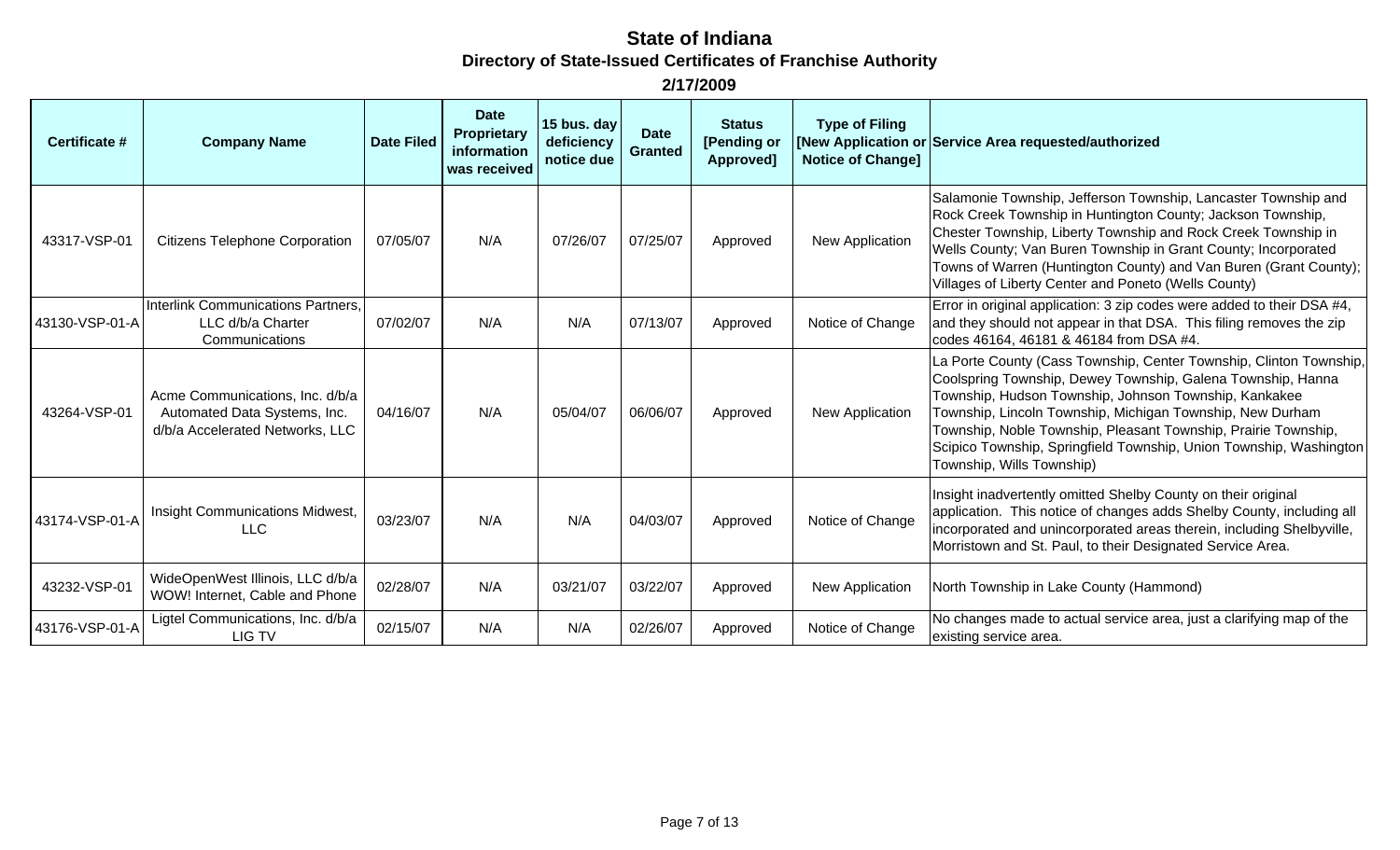| Certificate #  | <b>Company Name</b>                                                                                | <b>Date Filed</b> | <b>Date</b><br>Proprietary<br>information<br>was received | 15 bus. day<br>deficiency<br>notice due | <b>Date</b><br><b>Granted</b> | <b>Status</b><br>[Pending or<br>Approved] | <b>Type of Filing</b><br><b>Notice of Change]</b> | [New Application or Service Area requested/authorized                                                                                                                                                                                                                                                                                                                                                                        |
|----------------|----------------------------------------------------------------------------------------------------|-------------------|-----------------------------------------------------------|-----------------------------------------|-------------------------------|-------------------------------------------|---------------------------------------------------|------------------------------------------------------------------------------------------------------------------------------------------------------------------------------------------------------------------------------------------------------------------------------------------------------------------------------------------------------------------------------------------------------------------------------|
| 43317-VSP-01   | <b>Citizens Telephone Corporation</b>                                                              | 07/05/07          | N/A                                                       | 07/26/07                                | 07/25/07                      | Approved                                  | New Application                                   | Salamonie Township, Jefferson Township, Lancaster Township and<br>Rock Creek Township in Huntington County; Jackson Township,<br>Chester Township, Liberty Township and Rock Creek Township in<br>Wells County; Van Buren Township in Grant County; Incorporated<br>Towns of Warren (Huntington County) and Van Buren (Grant County);<br>Villages of Liberty Center and Poneto (Wells County)                                |
| 43130-VSP-01-A | <b>Interlink Communications Partners,</b><br>LLC d/b/a Charter<br>Communications                   | 07/02/07          | N/A                                                       | N/A                                     | 07/13/07                      | Approved                                  | Notice of Change                                  | Error in original application: 3 zip codes were added to their DSA #4,<br>and they should not appear in that DSA. This filing removes the zip<br>codes 46164, 46181 & 46184 from DSA #4.                                                                                                                                                                                                                                     |
| 43264-VSP-01   | Acme Communications, Inc. d/b/a<br>Automated Data Systems, Inc.<br>d/b/a Accelerated Networks, LLC | 04/16/07          | N/A                                                       | 05/04/07                                | 06/06/07                      | Approved                                  | New Application                                   | La Porte County (Cass Township, Center Township, Clinton Township,<br>Coolspring Township, Dewey Township, Galena Township, Hanna<br>Township, Hudson Township, Johnson Township, Kankakee<br>Township, Lincoln Township, Michigan Township, New Durham<br>Township, Noble Township, Pleasant Township, Prairie Township,<br>Scipico Township, Springfield Township, Union Township, Washington<br>Township, Wills Township) |
| 43174-VSP-01-A | Insight Communications Midwest,<br><b>LLC</b>                                                      | 03/23/07          | N/A                                                       | N/A                                     | 04/03/07                      | Approved                                  | Notice of Change                                  | Insight inadvertently omitted Shelby County on their original<br>application. This notice of changes adds Shelby County, including all<br>incorporated and unincorporated areas therein, including Shelbyville,<br>Morristown and St. Paul, to their Designated Service Area.                                                                                                                                                |
| 43232-VSP-01   | WideOpenWest Illinois, LLC d/b/a<br>WOW! Internet, Cable and Phone                                 | 02/28/07          | N/A                                                       | 03/21/07                                | 03/22/07                      | Approved                                  | New Application                                   | North Township in Lake County (Hammond)                                                                                                                                                                                                                                                                                                                                                                                      |
| 43176-VSP-01-A | Ligtel Communications, Inc. d/b/a<br>LIG TV                                                        | 02/15/07          | N/A                                                       | N/A                                     | 02/26/07                      | Approved                                  | Notice of Change                                  | No changes made to actual service area, just a clarifying map of the<br>existing service area.                                                                                                                                                                                                                                                                                                                               |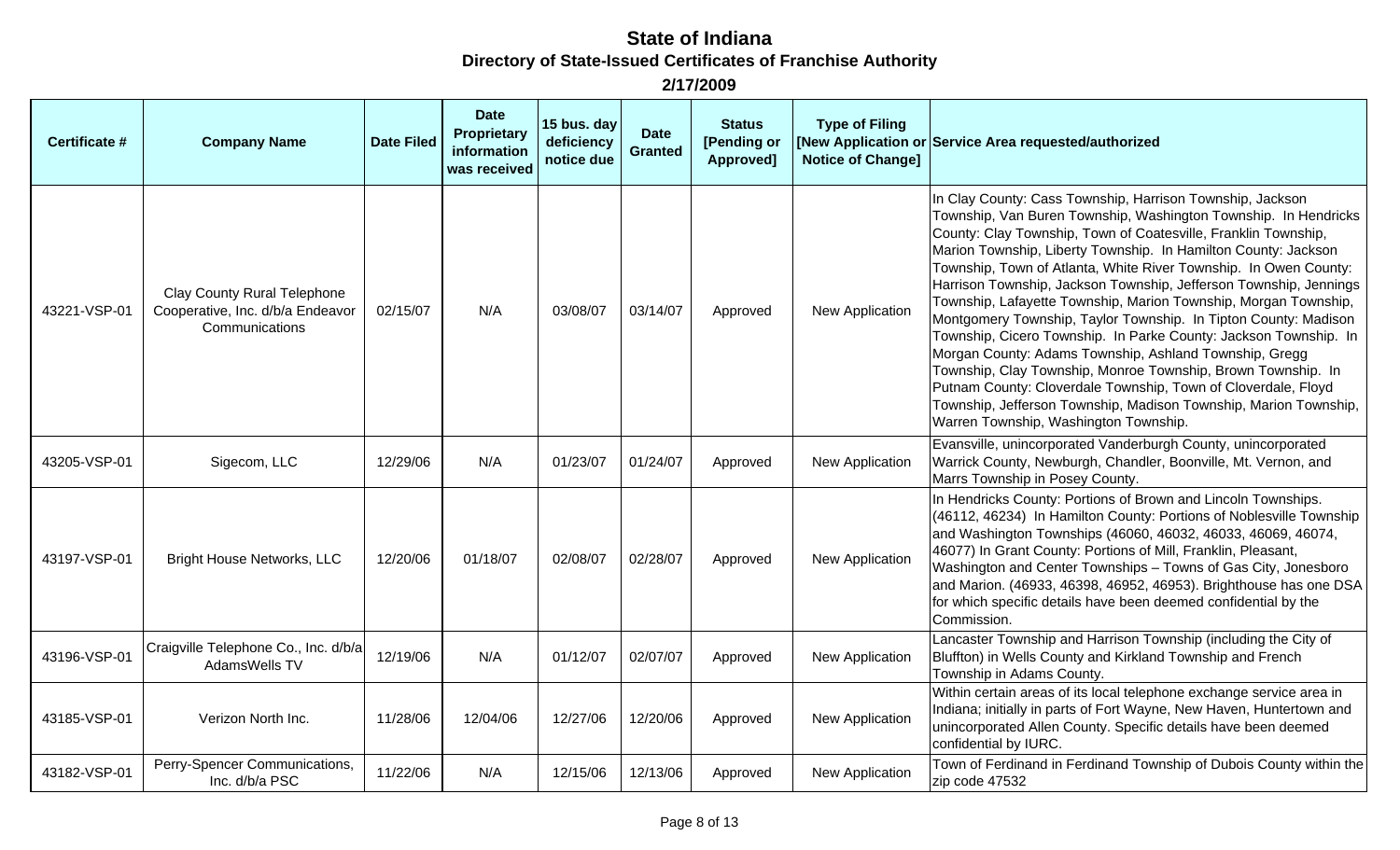| <b>Certificate #</b> | <b>Company Name</b>                                                                      | <b>Date Filed</b> | <b>Date</b><br>Proprietary<br>information<br>was received | 15 bus. day<br>deficiency<br>notice due | <b>Date</b><br><b>Granted</b> | <b>Status</b><br>[Pending or<br>Approved] | <b>Type of Filing</b><br><b>Notice of Change]</b> | [New Application or Service Area requested/authorized                                                                                                                                                                                                                                                                                                                                                                                                                                                                                                                                                                                                                                                                                                                                                                                                                                                                       |
|----------------------|------------------------------------------------------------------------------------------|-------------------|-----------------------------------------------------------|-----------------------------------------|-------------------------------|-------------------------------------------|---------------------------------------------------|-----------------------------------------------------------------------------------------------------------------------------------------------------------------------------------------------------------------------------------------------------------------------------------------------------------------------------------------------------------------------------------------------------------------------------------------------------------------------------------------------------------------------------------------------------------------------------------------------------------------------------------------------------------------------------------------------------------------------------------------------------------------------------------------------------------------------------------------------------------------------------------------------------------------------------|
| 43221-VSP-01         | <b>Clay County Rural Telephone</b><br>Cooperative, Inc. d/b/a Endeavor<br>Communications | 02/15/07          | N/A                                                       | 03/08/07                                | 03/14/07                      | Approved                                  | New Application                                   | In Clay County: Cass Township, Harrison Township, Jackson<br>Township, Van Buren Township, Washington Township. In Hendricks<br>County: Clay Township, Town of Coatesville, Franklin Township,<br>Marion Township, Liberty Township. In Hamilton County: Jackson<br>Township, Town of Atlanta, White River Township. In Owen County:<br>Harrison Township, Jackson Township, Jefferson Township, Jennings<br>Township, Lafayette Township, Marion Township, Morgan Township,<br>Montgomery Township, Taylor Township. In Tipton County: Madison<br>Township, Cicero Township. In Parke County: Jackson Township. In<br>Morgan County: Adams Township, Ashland Township, Gregg<br>Township, Clay Township, Monroe Township, Brown Township. In<br>Putnam County: Cloverdale Township, Town of Cloverdale, Floyd<br>Township, Jefferson Township, Madison Township, Marion Township,<br>Warren Township, Washington Township. |
| 43205-VSP-01         | Sigecom, LLC                                                                             | 12/29/06          | N/A                                                       | 01/23/07                                | 01/24/07                      | Approved                                  | New Application                                   | Evansville, unincorporated Vanderburgh County, unincorporated<br>Warrick County, Newburgh, Chandler, Boonville, Mt. Vernon, and<br>Marrs Township in Posey County.                                                                                                                                                                                                                                                                                                                                                                                                                                                                                                                                                                                                                                                                                                                                                          |
| 43197-VSP-01         | <b>Bright House Networks, LLC</b>                                                        | 12/20/06          | 01/18/07                                                  | 02/08/07                                | 02/28/07                      | Approved                                  | <b>New Application</b>                            | In Hendricks County: Portions of Brown and Lincoln Townships.<br>(46112, 46234) In Hamilton County: Portions of Noblesville Township<br>and Washington Townships (46060, 46032, 46033, 46069, 46074,<br>46077) In Grant County: Portions of Mill, Franklin, Pleasant,<br>Washington and Center Townships - Towns of Gas City, Jonesboro<br>and Marion. (46933, 46398, 46952, 46953). Brighthouse has one DSA<br>for which specific details have been deemed confidential by the<br>Commission.                                                                                                                                                                                                                                                                                                                                                                                                                              |
| 43196-VSP-01         | Craigville Telephone Co., Inc. d/b/a<br>AdamsWells TV                                    | 12/19/06          | N/A                                                       | 01/12/07                                | 02/07/07                      | Approved                                  | New Application                                   | Lancaster Township and Harrison Township (including the City of<br>Bluffton) in Wells County and Kirkland Township and French<br>Township in Adams County.                                                                                                                                                                                                                                                                                                                                                                                                                                                                                                                                                                                                                                                                                                                                                                  |
| 43185-VSP-01         | Verizon North Inc.                                                                       | 11/28/06          | 12/04/06                                                  | 12/27/06                                | 12/20/06                      | Approved                                  | New Application                                   | Within certain areas of its local telephone exchange service area in<br>Indiana; initially in parts of Fort Wayne, New Haven, Huntertown and<br>unincorporated Allen County. Specific details have been deemed<br>confidential by IURC.                                                                                                                                                                                                                                                                                                                                                                                                                                                                                                                                                                                                                                                                                     |
| 43182-VSP-01         | Perry-Spencer Communications,<br>Inc. d/b/a PSC                                          | 11/22/06          | N/A                                                       | 12/15/06                                | 12/13/06                      | Approved                                  | New Application                                   | Town of Ferdinand in Ferdinand Township of Dubois County within the<br>zip code 47532                                                                                                                                                                                                                                                                                                                                                                                                                                                                                                                                                                                                                                                                                                                                                                                                                                       |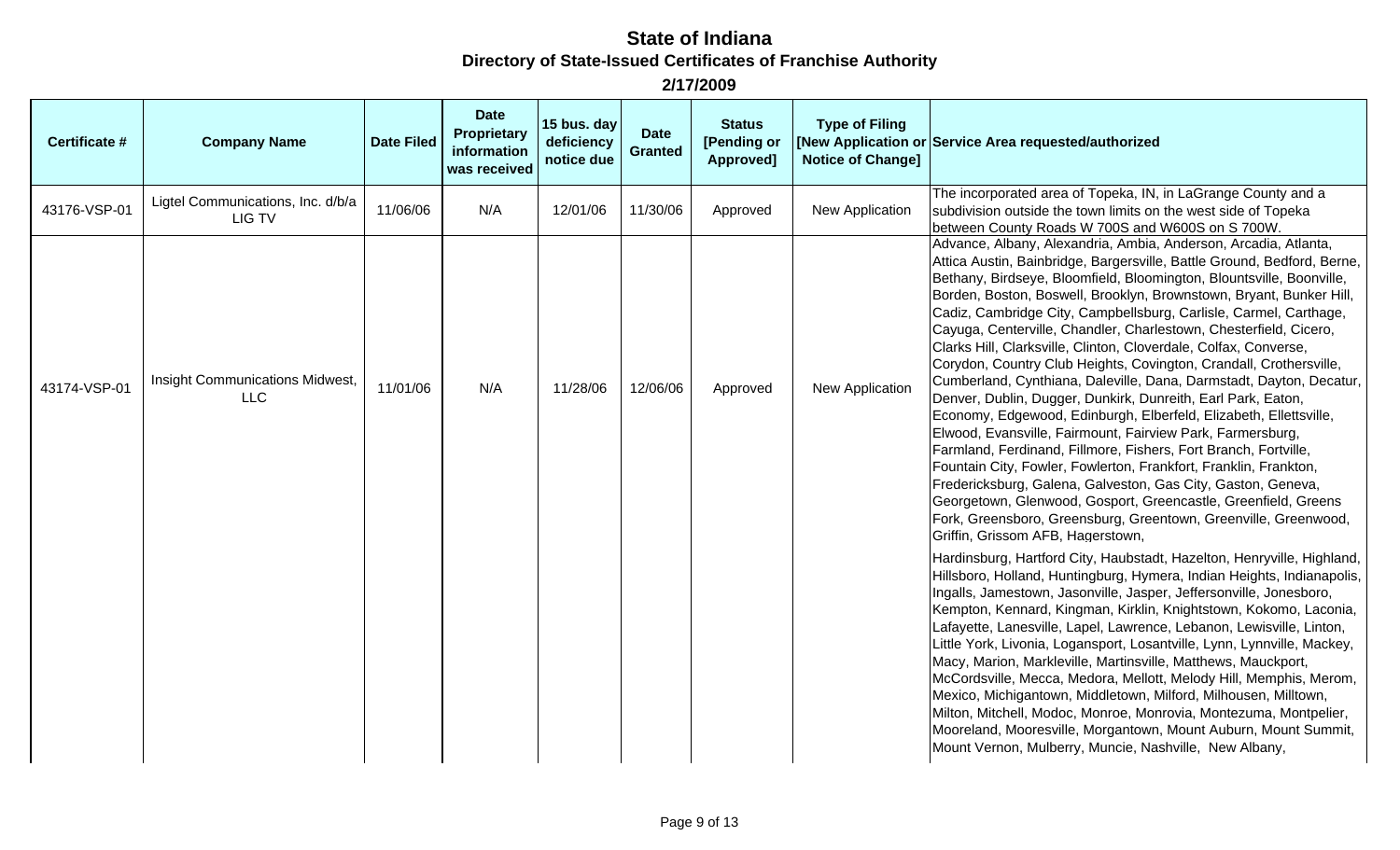| <b>Certificate #</b> | <b>Company Name</b>                           | <b>Date Filed</b> | <b>Date</b><br>Proprietary<br>information<br>was received | 15 bus. day<br>deficiency<br>notice due | <b>Date</b><br><b>Granted</b> | <b>Status</b><br>[Pending or<br>Approved] | <b>Type of Filing</b><br><b>Notice of Change]</b> | [New Application or Service Area requested/authorized                                                                                                                                                                                                                                                                                                                                                                                                                                                                                                                                                                                                                                                                                                                                                                                                                                                                                                                                                                                                                                                                                                                                                                                                                                                                                                                                                                                                                                                                                                                                                                                                                                                                                                                                                                                                                                                                                                                                                                                                                                                  |
|----------------------|-----------------------------------------------|-------------------|-----------------------------------------------------------|-----------------------------------------|-------------------------------|-------------------------------------------|---------------------------------------------------|--------------------------------------------------------------------------------------------------------------------------------------------------------------------------------------------------------------------------------------------------------------------------------------------------------------------------------------------------------------------------------------------------------------------------------------------------------------------------------------------------------------------------------------------------------------------------------------------------------------------------------------------------------------------------------------------------------------------------------------------------------------------------------------------------------------------------------------------------------------------------------------------------------------------------------------------------------------------------------------------------------------------------------------------------------------------------------------------------------------------------------------------------------------------------------------------------------------------------------------------------------------------------------------------------------------------------------------------------------------------------------------------------------------------------------------------------------------------------------------------------------------------------------------------------------------------------------------------------------------------------------------------------------------------------------------------------------------------------------------------------------------------------------------------------------------------------------------------------------------------------------------------------------------------------------------------------------------------------------------------------------------------------------------------------------------------------------------------------------|
| 43176-VSP-01         | Ligtel Communications, Inc. d/b/a<br>LIG TV   | 11/06/06          | N/A                                                       | 12/01/06                                | 11/30/06                      | Approved                                  | New Application                                   | The incorporated area of Topeka, IN, in LaGrange County and a<br>subdivision outside the town limits on the west side of Topeka<br>between County Roads W 700S and W600S on S 700W.                                                                                                                                                                                                                                                                                                                                                                                                                                                                                                                                                                                                                                                                                                                                                                                                                                                                                                                                                                                                                                                                                                                                                                                                                                                                                                                                                                                                                                                                                                                                                                                                                                                                                                                                                                                                                                                                                                                    |
| 43174-VSP-01         | Insight Communications Midwest,<br><b>LLC</b> | 11/01/06          | N/A                                                       | 11/28/06                                | 12/06/06                      | Approved                                  | <b>New Application</b>                            | Advance, Albany, Alexandria, Ambia, Anderson, Arcadia, Atlanta,<br>Attica Austin, Bainbridge, Bargersville, Battle Ground, Bedford, Berne,<br>Bethany, Birdseye, Bloomfield, Bloomington, Blountsville, Boonville,<br>Borden, Boston, Boswell, Brooklyn, Brownstown, Bryant, Bunker Hill,<br>Cadiz, Cambridge City, Campbellsburg, Carlisle, Carmel, Carthage,<br>Cayuga, Centerville, Chandler, Charlestown, Chesterfield, Cicero,<br>Clarks Hill, Clarksville, Clinton, Cloverdale, Colfax, Converse,<br>Corydon, Country Club Heights, Covington, Crandall, Crothersville,<br>Cumberland, Cynthiana, Daleville, Dana, Darmstadt, Dayton, Decatur,<br>Denver, Dublin, Dugger, Dunkirk, Dunreith, Earl Park, Eaton,<br>Economy, Edgewood, Edinburgh, Elberfeld, Elizabeth, Ellettsville,<br>Elwood, Evansville, Fairmount, Fairview Park, Farmersburg,<br>Farmland, Ferdinand, Fillmore, Fishers, Fort Branch, Fortville,<br>Fountain City, Fowler, Fowlerton, Frankfort, Franklin, Frankton,<br>Fredericksburg, Galena, Galveston, Gas City, Gaston, Geneva,<br>Georgetown, Glenwood, Gosport, Greencastle, Greenfield, Greens<br>Fork, Greensboro, Greensburg, Greentown, Greenville, Greenwood,<br>Griffin, Grissom AFB, Hagerstown,<br>Hardinsburg, Hartford City, Haubstadt, Hazelton, Henryville, Highland,<br>Hillsboro, Holland, Huntingburg, Hymera, Indian Heights, Indianapolis,<br>Ingalls, Jamestown, Jasonville, Jasper, Jeffersonville, Jonesboro,<br>Kempton, Kennard, Kingman, Kirklin, Knightstown, Kokomo, Laconia,<br>Lafayette, Lanesville, Lapel, Lawrence, Lebanon, Lewisville, Linton,<br>Little York, Livonia, Logansport, Losantville, Lynn, Lynnville, Mackey,<br>Macy, Marion, Markleville, Martinsville, Matthews, Mauckport,<br>McCordsville, Mecca, Medora, Mellott, Melody Hill, Memphis, Merom,<br>Mexico, Michigantown, Middletown, Milford, Milhousen, Milltown,<br>Milton, Mitchell, Modoc, Monroe, Monrovia, Montezuma, Montpelier,<br>Mooreland, Mooresville, Morgantown, Mount Auburn, Mount Summit,<br>Mount Vernon, Mulberry, Muncie, Nashville, New Albany, |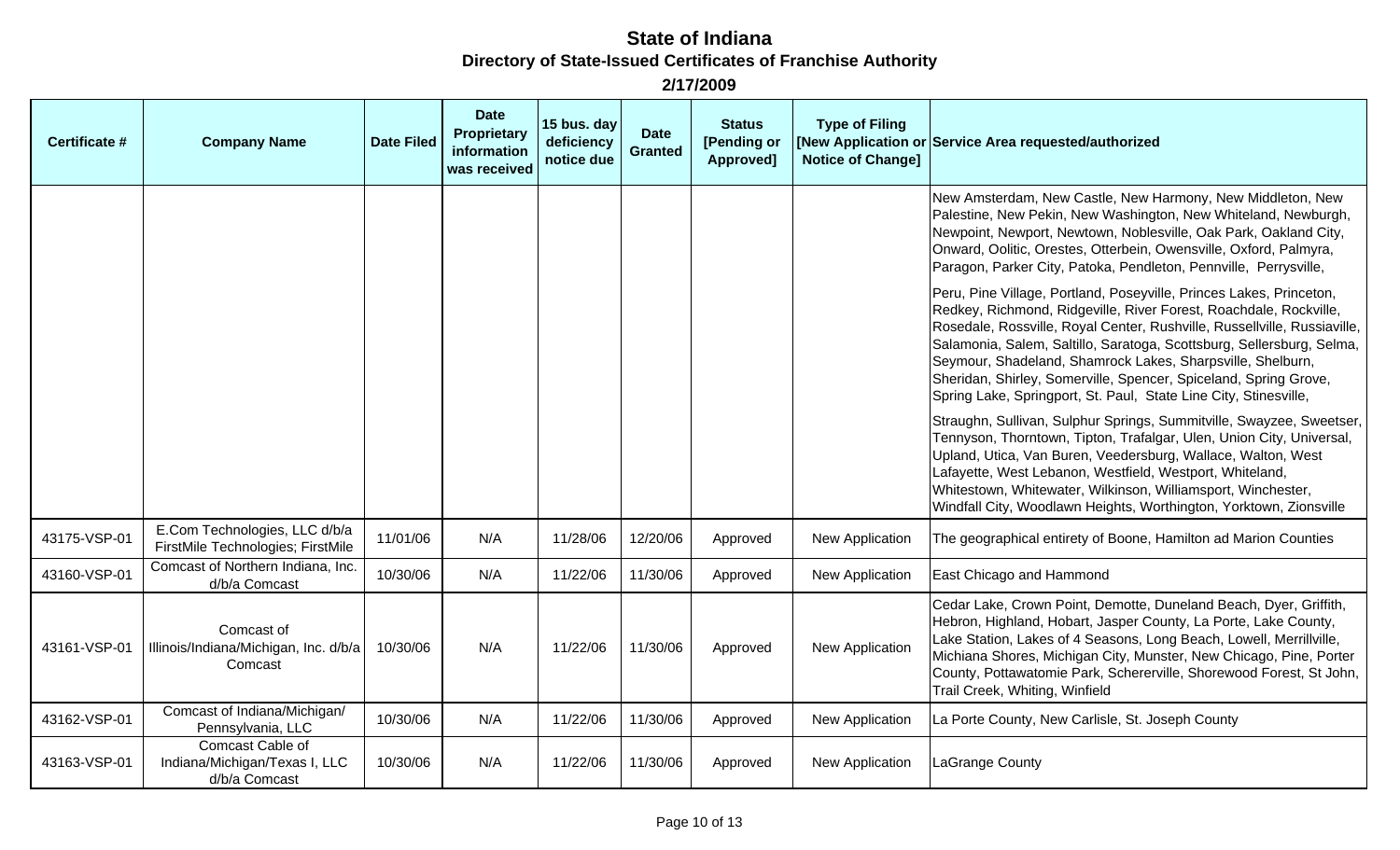| Certificate # | <b>Company Name</b>                                                | <b>Date Filed</b> | <b>Date</b><br><b>Proprietary</b><br>information<br>was received | 15 bus. day<br>deficiency<br>notice due | <b>Date</b><br><b>Granted</b> | <b>Status</b><br>[Pending or<br>Approved] | <b>Type of Filing</b><br><b>Notice of Changel</b> | [New Application or Service Area requested/authorized                                                                                                                                                                                                                                                                                                                                                                                                                                               |
|---------------|--------------------------------------------------------------------|-------------------|------------------------------------------------------------------|-----------------------------------------|-------------------------------|-------------------------------------------|---------------------------------------------------|-----------------------------------------------------------------------------------------------------------------------------------------------------------------------------------------------------------------------------------------------------------------------------------------------------------------------------------------------------------------------------------------------------------------------------------------------------------------------------------------------------|
|               |                                                                    |                   |                                                                  |                                         |                               |                                           |                                                   | New Amsterdam, New Castle, New Harmony, New Middleton, New<br>Palestine, New Pekin, New Washington, New Whiteland, Newburgh,<br>Newpoint, Newport, Newtown, Noblesville, Oak Park, Oakland City,<br>Onward, Oolitic, Orestes, Otterbein, Owensville, Oxford, Palmyra,<br>Paragon, Parker City, Patoka, Pendleton, Pennville, Perrysville,                                                                                                                                                           |
|               |                                                                    |                   |                                                                  |                                         |                               |                                           |                                                   | Peru, Pine Village, Portland, Poseyville, Princes Lakes, Princeton,<br>Redkey, Richmond, Ridgeville, River Forest, Roachdale, Rockville,<br>Rosedale, Rossville, Royal Center, Rushville, Russellville, Russiaville,<br>Salamonia, Salem, Saltillo, Saratoga, Scottsburg, Sellersburg, Selma,<br>Seymour, Shadeland, Shamrock Lakes, Sharpsville, Shelburn,<br>Sheridan, Shirley, Somerville, Spencer, Spiceland, Spring Grove,<br>Spring Lake, Springport, St. Paul, State Line City, Stinesville, |
|               |                                                                    |                   |                                                                  |                                         |                               |                                           |                                                   | Straughn, Sullivan, Sulphur Springs, Summitville, Swayzee, Sweetser,<br>Tennyson, Thorntown, Tipton, Trafalgar, Ulen, Union City, Universal,<br>Upland, Utica, Van Buren, Veedersburg, Wallace, Walton, West<br>Lafayette, West Lebanon, Westfield, Westport, Whiteland,<br>Whitestown, Whitewater, Wilkinson, Williamsport, Winchester,<br>Windfall City, Woodlawn Heights, Worthington, Yorktown, Zionsville                                                                                      |
| 43175-VSP-01  | E.Com Technologies, LLC d/b/a<br>FirstMile Technologies; FirstMile | 11/01/06          | N/A                                                              | 11/28/06                                | 12/20/06                      | Approved                                  | New Application                                   | The geographical entirety of Boone, Hamilton ad Marion Counties                                                                                                                                                                                                                                                                                                                                                                                                                                     |
| 43160-VSP-01  | Comcast of Northern Indiana, Inc.<br>d/b/a Comcast                 | 10/30/06          | N/A                                                              | 11/22/06                                | 11/30/06                      | Approved                                  | New Application                                   | East Chicago and Hammond                                                                                                                                                                                                                                                                                                                                                                                                                                                                            |
| 43161-VSP-01  | Comcast of<br>Illinois/Indiana/Michigan, Inc. d/b/a<br>Comcast     | 10/30/06          | N/A                                                              | 11/22/06                                | 11/30/06                      | Approved                                  | <b>New Application</b>                            | Cedar Lake, Crown Point, Demotte, Duneland Beach, Dyer, Griffith,<br>Hebron, Highland, Hobart, Jasper County, La Porte, Lake County,<br>Lake Station, Lakes of 4 Seasons, Long Beach, Lowell, Merrillville,<br>Michiana Shores, Michigan City, Munster, New Chicago, Pine, Porter<br>County, Pottawatomie Park, Schererville, Shorewood Forest, St John,<br>Trail Creek, Whiting, Winfield                                                                                                          |
| 43162-VSP-01  | Comcast of Indiana/Michigan/<br>Pennsylvania, LLC                  | 10/30/06          | N/A                                                              | 11/22/06                                | 11/30/06                      | Approved                                  | New Application                                   | La Porte County, New Carlisle, St. Joseph County                                                                                                                                                                                                                                                                                                                                                                                                                                                    |
| 43163-VSP-01  | Comcast Cable of<br>Indiana/Michigan/Texas I, LLC<br>d/b/a Comcast | 10/30/06          | N/A                                                              | 11/22/06                                | 11/30/06                      | Approved                                  | New Application                                   | LaGrange County                                                                                                                                                                                                                                                                                                                                                                                                                                                                                     |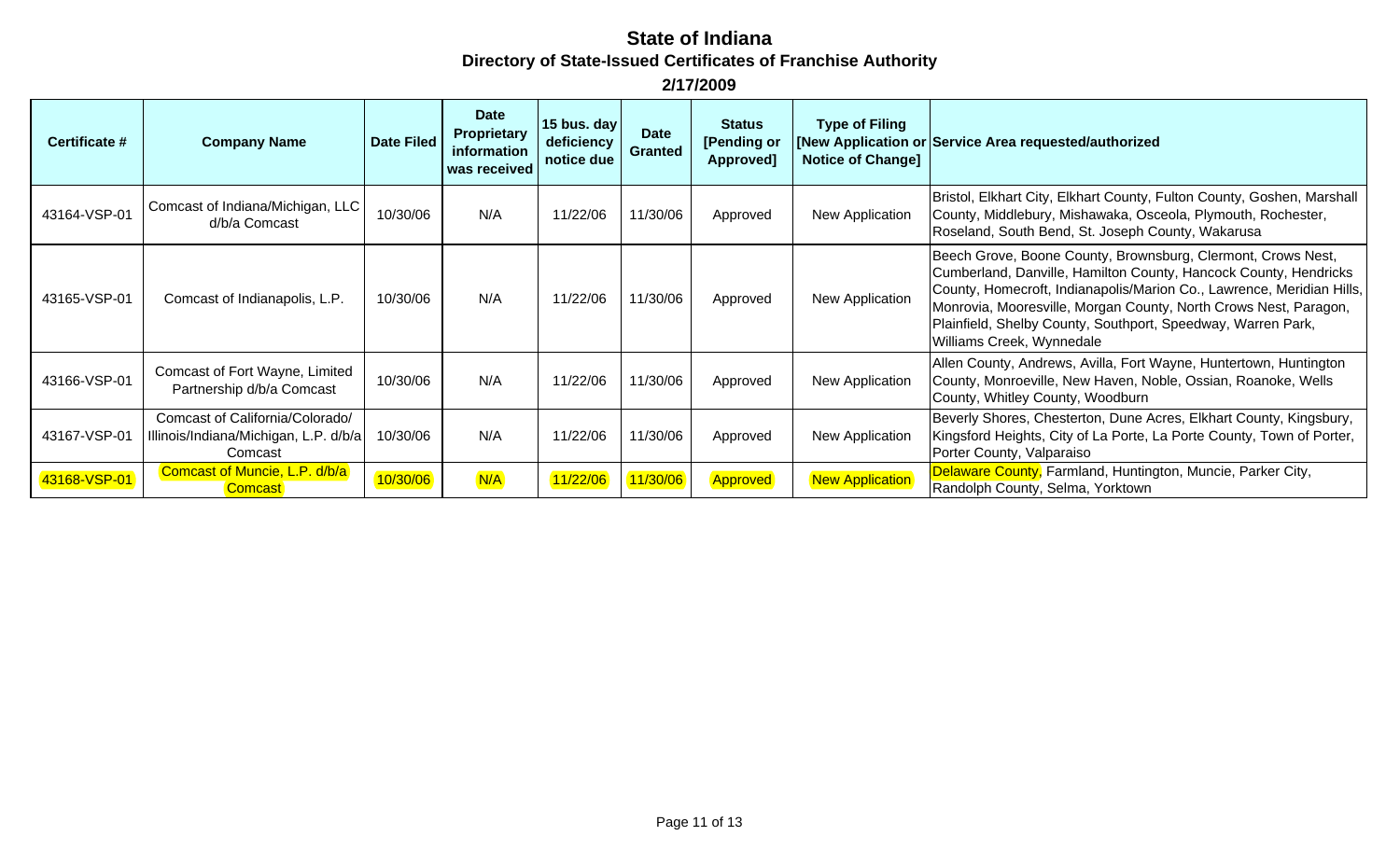| Certificate # | <b>Company Name</b>                                                                 | <b>Date Filed</b> | <b>Date</b><br>Proprietary<br>information<br>was received | 15 bus. day<br>deficiency<br>notice due | <b>Date</b><br><b>Granted</b> | <b>Status</b><br>[Pending or<br>Approved] | <b>Type of Filing</b><br><b>Notice of Change]</b> | [New Application or Service Area requested/authorized                                                                                                                                                                                                                                                                                                                      |
|---------------|-------------------------------------------------------------------------------------|-------------------|-----------------------------------------------------------|-----------------------------------------|-------------------------------|-------------------------------------------|---------------------------------------------------|----------------------------------------------------------------------------------------------------------------------------------------------------------------------------------------------------------------------------------------------------------------------------------------------------------------------------------------------------------------------------|
| 43164-VSP-01  | Comcast of Indiana/Michigan, LLC<br>d/b/a Comcast                                   | 10/30/06          | N/A                                                       | 11/22/06                                | 11/30/06                      | Approved                                  | New Application                                   | Bristol, Elkhart City, Elkhart County, Fulton County, Goshen, Marshall<br>County, Middlebury, Mishawaka, Osceola, Plymouth, Rochester,<br>Roseland, South Bend, St. Joseph County, Wakarusa                                                                                                                                                                                |
| 43165-VSP-01  | Comcast of Indianapolis, L.P.                                                       | 10/30/06          | N/A                                                       | 11/22/06                                | 11/30/06                      | Approved                                  | New Application                                   | Beech Grove, Boone County, Brownsburg, Clermont, Crows Nest,<br>Cumberland, Danville, Hamilton County, Hancock County, Hendricks<br>County, Homecroft, Indianapolis/Marion Co., Lawrence, Meridian Hills,<br>Monrovia, Mooresville, Morgan County, North Crows Nest, Paragon,<br>Plainfield, Shelby County, Southport, Speedway, Warren Park,<br>Williams Creek, Wynnedale |
| 43166-VSP-01  | Comcast of Fort Wayne, Limited<br>Partnership d/b/a Comcast                         | 10/30/06          | N/A                                                       | 11/22/06                                | 11/30/06                      | Approved                                  | New Application                                   | Allen County, Andrews, Avilla, Fort Wayne, Huntertown, Huntington<br>County, Monroeville, New Haven, Noble, Ossian, Roanoke, Wells<br>County, Whitley County, Woodburn                                                                                                                                                                                                     |
| 43167-VSP-01  | Comcast of California/Colorado/<br>Illinois/Indiana/Michigan, L.P. d/b/a<br>Comcast | 10/30/06          | N/A                                                       | 11/22/06                                | 11/30/06                      | Approved                                  | New Application                                   | Beverly Shores, Chesterton, Dune Acres, Elkhart County, Kingsbury,<br>Kingsford Heights, City of La Porte, La Porte County, Town of Porter,<br>Porter County, Valparaiso                                                                                                                                                                                                   |
| 43168-VSP-01  | Comcast of Muncie, L.P. d/b/a<br><b>Comcast</b>                                     | 10/30/06          | N/A                                                       | 11/22/06                                | 11/30/06                      | Approved                                  | <b>New Application</b>                            | Delaware County, Farmland, Huntington, Muncie, Parker City,<br>Randolph County, Selma, Yorktown                                                                                                                                                                                                                                                                            |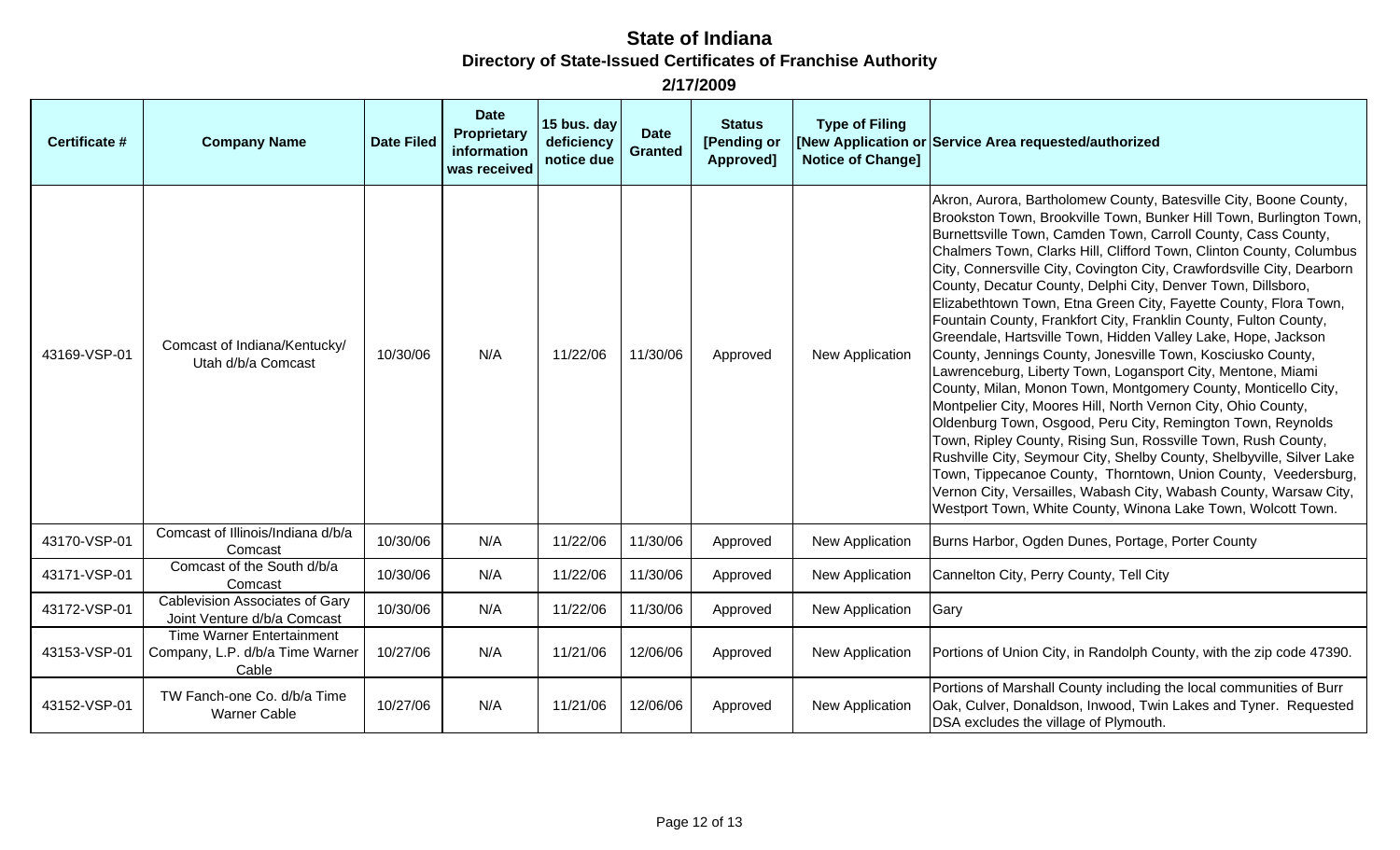| <b>Certificate #</b> | <b>Company Name</b>                                                          | <b>Date Filed</b> | <b>Date</b><br><b>Proprietary</b><br>information<br>was received | 15 bus. day<br>deficiency<br>notice due | <b>Date</b><br><b>Granted</b> | <b>Status</b><br>[Pending or<br>Approved] | <b>Type of Filing</b><br><b>Notice of Change]</b> | [New Application or Service Area requested/authorized                                                                                                                                                                                                                                                                                                                                                                                                                                                                                                                                                                                                                                                                                                                                                                                                                                                                                                                                                                                                                                                                                                                                                                                                                                                                |
|----------------------|------------------------------------------------------------------------------|-------------------|------------------------------------------------------------------|-----------------------------------------|-------------------------------|-------------------------------------------|---------------------------------------------------|----------------------------------------------------------------------------------------------------------------------------------------------------------------------------------------------------------------------------------------------------------------------------------------------------------------------------------------------------------------------------------------------------------------------------------------------------------------------------------------------------------------------------------------------------------------------------------------------------------------------------------------------------------------------------------------------------------------------------------------------------------------------------------------------------------------------------------------------------------------------------------------------------------------------------------------------------------------------------------------------------------------------------------------------------------------------------------------------------------------------------------------------------------------------------------------------------------------------------------------------------------------------------------------------------------------------|
| 43169-VSP-01         | Comcast of Indiana/Kentucky/<br>Utah d/b/a Comcast                           | 10/30/06          | N/A                                                              | 11/22/06                                | 11/30/06                      | Approved                                  | New Application                                   | Akron, Aurora, Bartholomew County, Batesville City, Boone County,<br>Brookston Town, Brookville Town, Bunker Hill Town, Burlington Town,<br>Burnettsville Town, Camden Town, Carroll County, Cass County,<br>Chalmers Town, Clarks Hill, Clifford Town, Clinton County, Columbus<br>City, Connersville City, Covington City, Crawfordsville City, Dearborn<br>County, Decatur County, Delphi City, Denver Town, Dillsboro,<br>Elizabethtown Town, Etna Green City, Fayette County, Flora Town,<br>Fountain County, Frankfort City, Franklin County, Fulton County,<br>Greendale, Hartsville Town, Hidden Valley Lake, Hope, Jackson<br>County, Jennings County, Jonesville Town, Kosciusko County,<br>Lawrenceburg, Liberty Town, Logansport City, Mentone, Miami<br>County, Milan, Monon Town, Montgomery County, Monticello City,<br>Montpelier City, Moores Hill, North Vernon City, Ohio County,<br>Oldenburg Town, Osgood, Peru City, Remington Town, Reynolds<br>Town, Ripley County, Rising Sun, Rossville Town, Rush County,<br>Rushville City, Seymour City, Shelby County, Shelbyville, Silver Lake<br>Town, Tippecanoe County, Thorntown, Union County, Veedersburg,<br>Vernon City, Versailles, Wabash City, Wabash County, Warsaw City,<br>Westport Town, White County, Winona Lake Town, Wolcott Town. |
| 43170-VSP-01         | Comcast of Illinois/Indiana d/b/a<br>Comcast                                 | 10/30/06          | N/A                                                              | 11/22/06                                | 11/30/06                      | Approved                                  | New Application                                   | Burns Harbor, Ogden Dunes, Portage, Porter County                                                                                                                                                                                                                                                                                                                                                                                                                                                                                                                                                                                                                                                                                                                                                                                                                                                                                                                                                                                                                                                                                                                                                                                                                                                                    |
| 43171-VSP-01         | Comcast of the South d/b/a<br>Comcast                                        | 10/30/06          | N/A                                                              | 11/22/06                                | 11/30/06                      | Approved                                  | New Application                                   | Cannelton City, Perry County, Tell City                                                                                                                                                                                                                                                                                                                                                                                                                                                                                                                                                                                                                                                                                                                                                                                                                                                                                                                                                                                                                                                                                                                                                                                                                                                                              |
| 43172-VSP-01         | Cablevision Associates of Gary<br>Joint Venture d/b/a Comcast                | 10/30/06          | N/A                                                              | 11/22/06                                | 11/30/06                      | Approved                                  | New Application                                   | Gary                                                                                                                                                                                                                                                                                                                                                                                                                                                                                                                                                                                                                                                                                                                                                                                                                                                                                                                                                                                                                                                                                                                                                                                                                                                                                                                 |
| 43153-VSP-01         | <b>Time Warner Entertainment</b><br>Company, L.P. d/b/a Time Warner<br>Cable | 10/27/06          | N/A                                                              | 11/21/06                                | 12/06/06                      | Approved                                  | New Application                                   | Portions of Union City, in Randolph County, with the zip code 47390.                                                                                                                                                                                                                                                                                                                                                                                                                                                                                                                                                                                                                                                                                                                                                                                                                                                                                                                                                                                                                                                                                                                                                                                                                                                 |
| 43152-VSP-01         | TW Fanch-one Co. d/b/a Time<br><b>Warner Cable</b>                           | 10/27/06          | N/A                                                              | 11/21/06                                | 12/06/06                      | Approved                                  | New Application                                   | Portions of Marshall County including the local communities of Burr<br>Oak, Culver, Donaldson, Inwood, Twin Lakes and Tyner. Requested<br>DSA excludes the village of Plymouth.                                                                                                                                                                                                                                                                                                                                                                                                                                                                                                                                                                                                                                                                                                                                                                                                                                                                                                                                                                                                                                                                                                                                      |